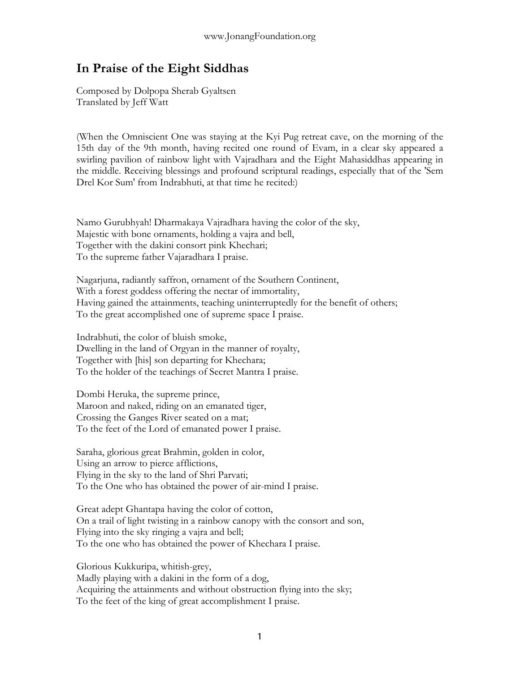## **In Praise of the Eight Siddhas**

Composed by Dolpopa Sherab Gyaltsen Translated by Jeff Watt

(When the Omniscient One was staying at the Kyi Pug retreat cave, on the morning of the 15th day of the 9th month, having recited one round of Evam, in a clear sky appeared a swirling pavilion of rainbow light with Vajradhara and the Eight Mahasiddhas appearing in the middle. Receiving blessings and profound scriptural readings, especially that of the 'Sem Drel Kor Sum' from Indrabhuti, at that time he recited:)

Namo Gurubhyah! Dharmakaya Vajradhara having the color of the sky, Majestic with bone ornaments, holding a vajra and bell, Together with the dakini consort pink Khechari; To the supreme father Vajaradhara I praise.

Nagarjuna, radiantly saffron, ornament of the Southern Continent, With a forest goddess offering the nectar of immortality, Having gained the attainments, teaching uninterruptedly for the benefit of others; To the great accomplished one of supreme space I praise.

Indrabhuti, the color of bluish smoke, Dwelling in the land of Orgyan in the manner of royalty, Together with [his] son departing for Khechara; To the holder of the teachings of Secret Mantra I praise.

Dombi Heruka, the supreme prince, Maroon and naked, riding on an emanated tiger, Crossing the Ganges River seated on a mat; To the feet of the Lord of emanated power I praise.

Saraha, glorious great Brahmin, golden in color, Using an arrow to pierce afflictions, Flying in the sky to the land of Shri Parvati; To the One who has obtained the power of air-mind I praise.

Great adept Ghantapa having the color of cotton, On a trail of light twisting in a rainbow canopy with the consort and son, Flying into the sky ringing a vajra and bell; To the one who has obtained the power of Khechara I praise.

Glorious Kukkuripa, whitish-grey, Madly playing with a dakini in the form of a dog, Acquiring the attainments and without obstruction flying into the sky; To the feet of the king of great accomplishment I praise.